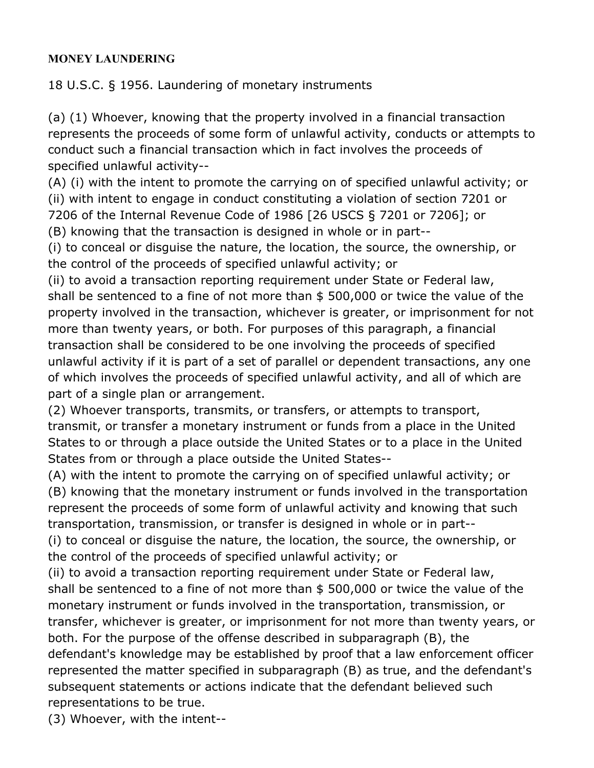## **MONEY LAUNDERING**

18 U.S.C. § 1956. Laundering of monetary instruments

(a) (1) Whoever, knowing that the property involved in a financial transaction represents the proceeds of some form of unlawful activity, conducts or attempts to conduct such a financial transaction which in fact involves the proceeds of specified unlawful activity--

(A) (i) with the intent to promote the carrying on of specified unlawful activity; or (ii) with intent to engage in conduct constituting a violation of section 7201 or 7206 of the Internal Revenue Code of 1986 [26 USCS § 7201 or 7206]; or

(B) knowing that the transaction is designed in whole or in part--

(i) to conceal or disguise the nature, the location, the source, the ownership, or the control of the proceeds of specified unlawful activity; or

(ii) to avoid a transaction reporting requirement under State or Federal law, shall be sentenced to a fine of not more than \$ 500,000 or twice the value of the property involved in the transaction, whichever is greater, or imprisonment for not more than twenty years, or both. For purposes of this paragraph, a financial transaction shall be considered to be one involving the proceeds of specified unlawful activity if it is part of a set of parallel or dependent transactions, any one of which involves the proceeds of specified unlawful activity, and all of which are part of a single plan or arrangement.

(2) Whoever transports, transmits, or transfers, or attempts to transport, transmit, or transfer a monetary instrument or funds from a place in the United States to or through a place outside the United States or to a place in the United States from or through a place outside the United States--

(A) with the intent to promote the carrying on of specified unlawful activity; or (B) knowing that the monetary instrument or funds involved in the transportation represent the proceeds of some form of unlawful activity and knowing that such transportation, transmission, or transfer is designed in whole or in part--

(i) to conceal or disguise the nature, the location, the source, the ownership, or the control of the proceeds of specified unlawful activity; or

(ii) to avoid a transaction reporting requirement under State or Federal law, shall be sentenced to a fine of not more than \$ 500,000 or twice the value of the monetary instrument or funds involved in the transportation, transmission, or transfer, whichever is greater, or imprisonment for not more than twenty years, or both. For the purpose of the offense described in subparagraph (B), the

defendant's knowledge may be established by proof that a law enforcement officer represented the matter specified in subparagraph (B) as true, and the defendant's subsequent statements or actions indicate that the defendant believed such representations to be true.

(3) Whoever, with the intent--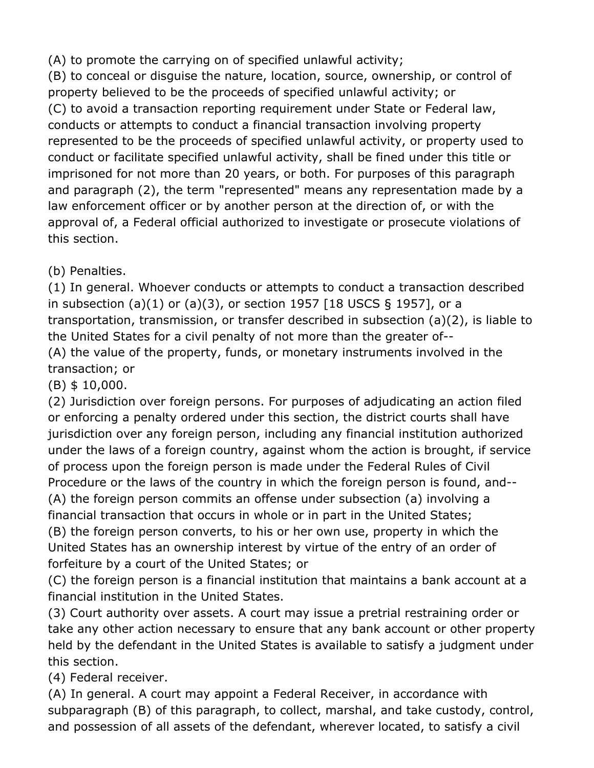(A) to promote the carrying on of specified unlawful activity;

(B) to conceal or disguise the nature, location, source, ownership, or control of property believed to be the proceeds of specified unlawful activity; or (C) to avoid a transaction reporting requirement under State or Federal law, conducts or attempts to conduct a financial transaction involving property represented to be the proceeds of specified unlawful activity, or property used to conduct or facilitate specified unlawful activity, shall be fined under this title or imprisoned for not more than 20 years, or both. For purposes of this paragraph and paragraph (2), the term "represented" means any representation made by a law enforcement officer or by another person at the direction of, or with the approval of, a Federal official authorized to investigate or prosecute violations of this section.

(b) Penalties.

(1) In general. Whoever conducts or attempts to conduct a transaction described in subsection (a)(1) or (a)(3), or section 1957 [18 USCS § 1957], or a transportation, transmission, or transfer described in subsection (a)(2), is liable to the United States for a civil penalty of not more than the greater of-- (A) the value of the property, funds, or monetary instruments involved in the transaction; or

(B) \$ 10,000.

(2) Jurisdiction over foreign persons. For purposes of adjudicating an action filed or enforcing a penalty ordered under this section, the district courts shall have jurisdiction over any foreign person, including any financial institution authorized under the laws of a foreign country, against whom the action is brought, if service of process upon the foreign person is made under the Federal Rules of Civil Procedure or the laws of the country in which the foreign person is found, and-- (A) the foreign person commits an offense under subsection (a) involving a financial transaction that occurs in whole or in part in the United States;

(B) the foreign person converts, to his or her own use, property in which the United States has an ownership interest by virtue of the entry of an order of forfeiture by a court of the United States; or

(C) the foreign person is a financial institution that maintains a bank account at a financial institution in the United States.

(3) Court authority over assets. A court may issue a pretrial restraining order or take any other action necessary to ensure that any bank account or other property held by the defendant in the United States is available to satisfy a judgment under this section.

(4) Federal receiver.

(A) In general. A court may appoint a Federal Receiver, in accordance with subparagraph (B) of this paragraph, to collect, marshal, and take custody, control, and possession of all assets of the defendant, wherever located, to satisfy a civil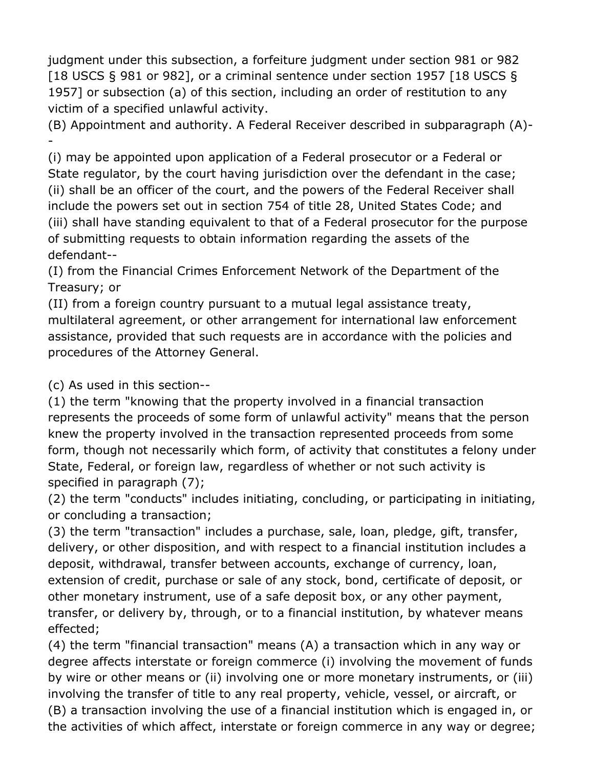judgment under this subsection, a forfeiture judgment under section 981 or 982 [18 USCS § 981 or 982], or a criminal sentence under section 1957 [18 USCS § 1957] or subsection (a) of this section, including an order of restitution to any victim of a specified unlawful activity.

(B) Appointment and authority. A Federal Receiver described in subparagraph (A)- -

(i) may be appointed upon application of a Federal prosecutor or a Federal or State regulator, by the court having jurisdiction over the defendant in the case; (ii) shall be an officer of the court, and the powers of the Federal Receiver shall include the powers set out in section 754 of title 28, United States Code; and (iii) shall have standing equivalent to that of a Federal prosecutor for the purpose of submitting requests to obtain information regarding the assets of the defendant--

(I) from the Financial Crimes Enforcement Network of the Department of the Treasury; or

(II) from a foreign country pursuant to a mutual legal assistance treaty, multilateral agreement, or other arrangement for international law enforcement assistance, provided that such requests are in accordance with the policies and procedures of the Attorney General.

(c) As used in this section--

(1) the term "knowing that the property involved in a financial transaction represents the proceeds of some form of unlawful activity" means that the person knew the property involved in the transaction represented proceeds from some form, though not necessarily which form, of activity that constitutes a felony under State, Federal, or foreign law, regardless of whether or not such activity is specified in paragraph (7);

(2) the term "conducts" includes initiating, concluding, or participating in initiating, or concluding a transaction;

(3) the term "transaction" includes a purchase, sale, loan, pledge, gift, transfer, delivery, or other disposition, and with respect to a financial institution includes a deposit, withdrawal, transfer between accounts, exchange of currency, loan, extension of credit, purchase or sale of any stock, bond, certificate of deposit, or other monetary instrument, use of a safe deposit box, or any other payment, transfer, or delivery by, through, or to a financial institution, by whatever means effected;

(4) the term "financial transaction" means (A) a transaction which in any way or degree affects interstate or foreign commerce (i) involving the movement of funds by wire or other means or (ii) involving one or more monetary instruments, or (iii) involving the transfer of title to any real property, vehicle, vessel, or aircraft, or (B) a transaction involving the use of a financial institution which is engaged in, or the activities of which affect, interstate or foreign commerce in any way or degree;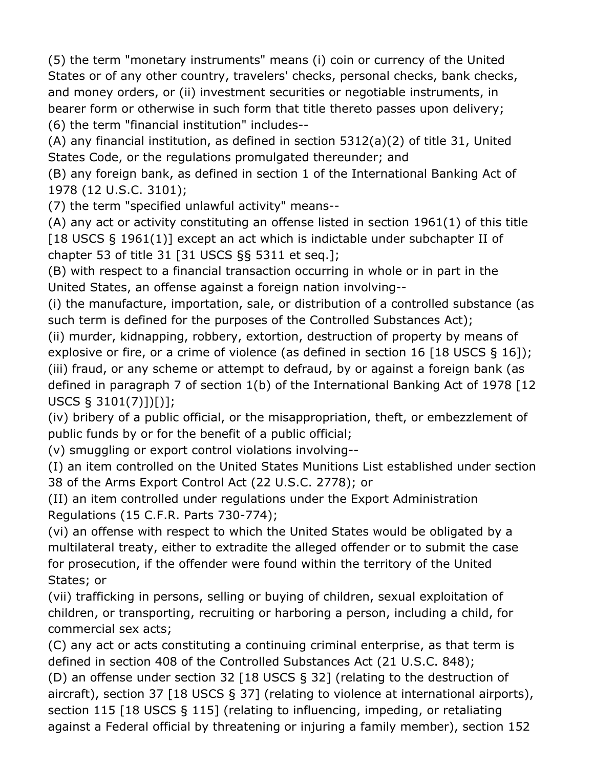(5) the term "monetary instruments" means (i) coin or currency of the United States or of any other country, travelers' checks, personal checks, bank checks, and money orders, or (ii) investment securities or negotiable instruments, in bearer form or otherwise in such form that title thereto passes upon delivery; (6) the term "financial institution" includes--

(A) any financial institution, as defined in section 5312(a)(2) of title 31, United States Code, or the regulations promulgated thereunder; and

(B) any foreign bank, as defined in section 1 of the International Banking Act of 1978 (12 U.S.C. 3101);

(7) the term "specified unlawful activity" means--

(A) any act or activity constituting an offense listed in section 1961(1) of this title [18 USCS § 1961(1)] except an act which is indictable under subchapter II of chapter 53 of title 31 [31 USCS §§ 5311 et seq.];

(B) with respect to a financial transaction occurring in whole or in part in the United States, an offense against a foreign nation involving--

(i) the manufacture, importation, sale, or distribution of a controlled substance (as such term is defined for the purposes of the Controlled Substances Act);

(ii) murder, kidnapping, robbery, extortion, destruction of property by means of explosive or fire, or a crime of violence (as defined in section 16 [18 USCS § 16]); (iii) fraud, or any scheme or attempt to defraud, by or against a foreign bank (as defined in paragraph 7 of section 1(b) of the International Banking Act of 1978 [12 USCS § 3101(7)])[)];

(iv) bribery of a public official, or the misappropriation, theft, or embezzlement of public funds by or for the benefit of a public official;

(v) smuggling or export control violations involving--

(I) an item controlled on the United States Munitions List established under section 38 of the Arms Export Control Act (22 U.S.C. 2778); or

(II) an item controlled under regulations under the Export Administration Regulations (15 C.F.R. Parts 730-774);

(vi) an offense with respect to which the United States would be obligated by a multilateral treaty, either to extradite the alleged offender or to submit the case for prosecution, if the offender were found within the territory of the United States; or

(vii) trafficking in persons, selling or buying of children, sexual exploitation of children, or transporting, recruiting or harboring a person, including a child, for commercial sex acts;

(C) any act or acts constituting a continuing criminal enterprise, as that term is defined in section 408 of the Controlled Substances Act (21 U.S.C. 848);

(D) an offense under section 32 [18 USCS § 32] (relating to the destruction of aircraft), section 37 [18 USCS § 37] (relating to violence at international airports), section 115 [18 USCS § 115] (relating to influencing, impeding, or retaliating against a Federal official by threatening or injuring a family member), section 152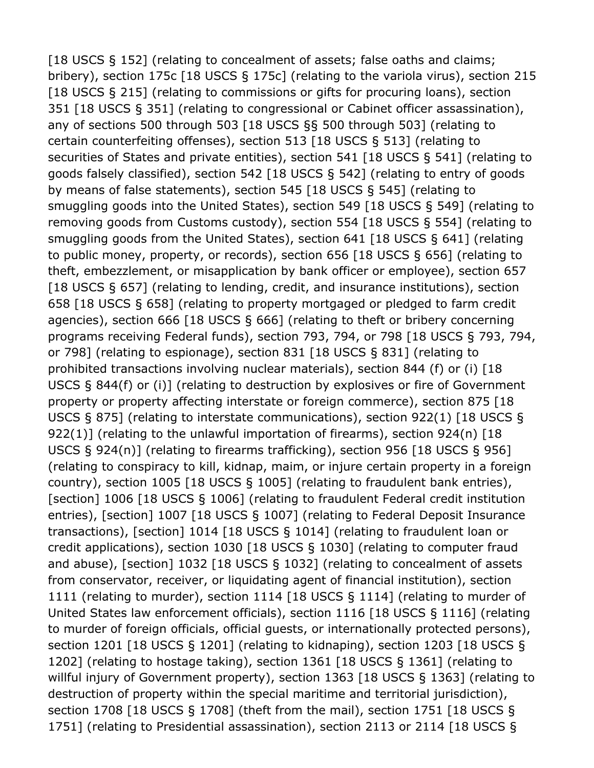[18 USCS § 152] (relating to concealment of assets; false oaths and claims; bribery), section 175c [18 USCS § 175c] (relating to the variola virus), section 215 [18 USCS § 215] (relating to commissions or gifts for procuring loans), section 351 [18 USCS § 351] (relating to congressional or Cabinet officer assassination), any of sections 500 through 503 [18 USCS §§ 500 through 503] (relating to certain counterfeiting offenses), section 513 [18 USCS § 513] (relating to securities of States and private entities), section 541 [18 USCS § 541] (relating to goods falsely classified), section 542 [18 USCS § 542] (relating to entry of goods by means of false statements), section 545 [18 USCS § 545] (relating to smuggling goods into the United States), section 549 [18 USCS § 549] (relating to removing goods from Customs custody), section 554 [18 USCS § 554] (relating to smuggling goods from the United States), section 641 [18 USCS § 641] (relating to public money, property, or records), section 656 [18 USCS § 656] (relating to theft, embezzlement, or misapplication by bank officer or employee), section 657 [18 USCS § 657] (relating to lending, credit, and insurance institutions), section 658 [18 USCS § 658] (relating to property mortgaged or pledged to farm credit agencies), section 666 [18 USCS § 666] (relating to theft or bribery concerning programs receiving Federal funds), section 793, 794, or 798 [18 USCS § 793, 794, or 798] (relating to espionage), section 831 [18 USCS § 831] (relating to prohibited transactions involving nuclear materials), section 844 (f) or (i) [18 USCS § 844(f) or (i)] (relating to destruction by explosives or fire of Government property or property affecting interstate or foreign commerce), section 875 [18 USCS § 875] (relating to interstate communications), section 922(1) [18 USCS § 922(1)] (relating to the unlawful importation of firearms), section 924(n) [18 USCS § 924(n)] (relating to firearms trafficking), section 956 [18 USCS § 956] (relating to conspiracy to kill, kidnap, maim, or injure certain property in a foreign country), section 1005 [18 USCS § 1005] (relating to fraudulent bank entries), [section] 1006 [18 USCS § 1006] (relating to fraudulent Federal credit institution entries), [section] 1007 [18 USCS § 1007] (relating to Federal Deposit Insurance transactions), [section] 1014 [18 USCS § 1014] (relating to fraudulent loan or credit applications), section 1030 [18 USCS § 1030] (relating to computer fraud and abuse), [section] 1032 [18 USCS § 1032] (relating to concealment of assets from conservator, receiver, or liquidating agent of financial institution), section 1111 (relating to murder), section 1114 [18 USCS § 1114] (relating to murder of United States law enforcement officials), section 1116 [18 USCS § 1116] (relating to murder of foreign officials, official guests, or internationally protected persons), section 1201 [18 USCS § 1201] (relating to kidnaping), section 1203 [18 USCS § 1202] (relating to hostage taking), section 1361 [18 USCS § 1361] (relating to willful injury of Government property), section 1363 [18 USCS § 1363] (relating to destruction of property within the special maritime and territorial jurisdiction), section 1708 [18 USCS § 1708] (theft from the mail), section 1751 [18 USCS § 1751] (relating to Presidential assassination), section 2113 or 2114 [18 USCS §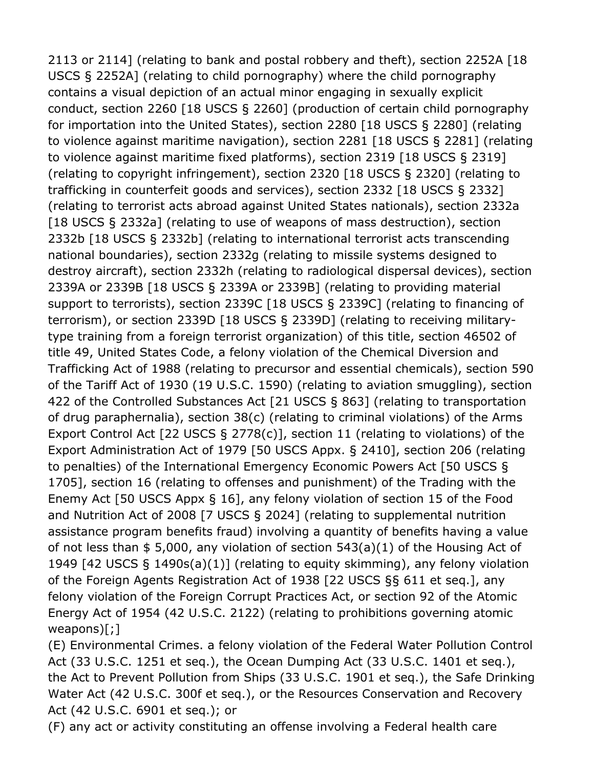2113 or 2114] (relating to bank and postal robbery and theft), section 2252A [18 USCS § 2252A] (relating to child pornography) where the child pornography contains a visual depiction of an actual minor engaging in sexually explicit conduct, section 2260 [18 USCS § 2260] (production of certain child pornography for importation into the United States), section 2280 [18 USCS § 2280] (relating to violence against maritime navigation), section 2281 [18 USCS § 2281] (relating to violence against maritime fixed platforms), section 2319 [18 USCS § 2319] (relating to copyright infringement), section 2320 [18 USCS § 2320] (relating to trafficking in counterfeit goods and services), section 2332 [18 USCS § 2332] (relating to terrorist acts abroad against United States nationals), section 2332a [18 USCS § 2332a] (relating to use of weapons of mass destruction), section 2332b [18 USCS § 2332b] (relating to international terrorist acts transcending national boundaries), section 2332g (relating to missile systems designed to destroy aircraft), section 2332h (relating to radiological dispersal devices), section 2339A or 2339B [18 USCS § 2339A or 2339B] (relating to providing material support to terrorists), section 2339C [18 USCS § 2339C] (relating to financing of terrorism), or section 2339D [18 USCS § 2339D] (relating to receiving militarytype training from a foreign terrorist organization) of this title, section 46502 of title 49, United States Code, a felony violation of the Chemical Diversion and Trafficking Act of 1988 (relating to precursor and essential chemicals), section 590 of the Tariff Act of 1930 (19 U.S.C. 1590) (relating to aviation smuggling), section 422 of the Controlled Substances Act [21 USCS § 863] (relating to transportation of drug paraphernalia), section 38(c) (relating to criminal violations) of the Arms Export Control Act [22 USCS § 2778(c)], section 11 (relating to violations) of the Export Administration Act of 1979 [50 USCS Appx. § 2410], section 206 (relating to penalties) of the International Emergency Economic Powers Act [50 USCS § 1705], section 16 (relating to offenses and punishment) of the Trading with the Enemy Act [50 USCS Appx § 16], any felony violation of section 15 of the Food and Nutrition Act of 2008 [7 USCS § 2024] (relating to supplemental nutrition assistance program benefits fraud) involving a quantity of benefits having a value of not less than \$ 5,000, any violation of section 543(a)(1) of the Housing Act of 1949 [42 USCS § 1490s(a)(1)] (relating to equity skimming), any felony violation of the Foreign Agents Registration Act of 1938 [22 USCS §§ 611 et seq.], any felony violation of the Foreign Corrupt Practices Act, or section 92 of the Atomic Energy Act of 1954 (42 U.S.C. 2122) (relating to prohibitions governing atomic weapons)[;]

(E) Environmental Crimes. a felony violation of the Federal Water Pollution Control Act (33 U.S.C. 1251 et seq.), the Ocean Dumping Act (33 U.S.C. 1401 et seq.), the Act to Prevent Pollution from Ships (33 U.S.C. 1901 et seq.), the Safe Drinking Water Act (42 U.S.C. 300f et seq.), or the Resources Conservation and Recovery Act (42 U.S.C. 6901 et seq.); or

(F) any act or activity constituting an offense involving a Federal health care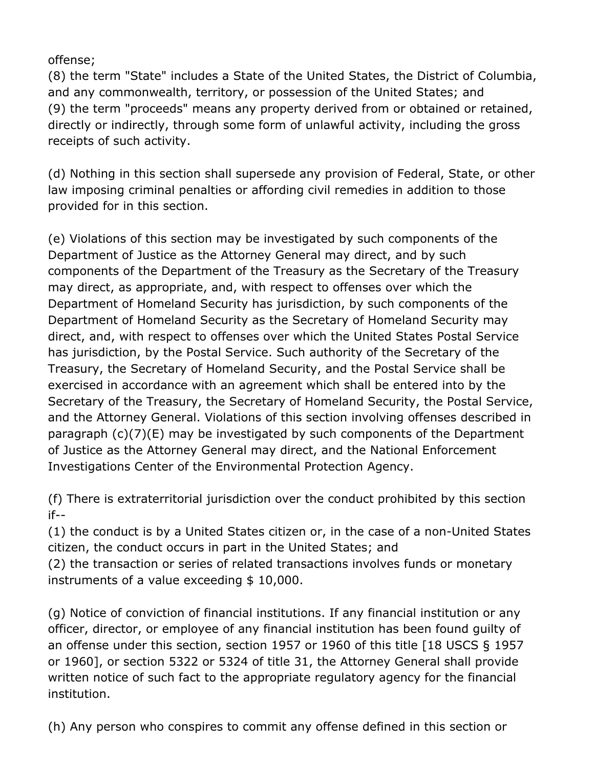offense;

(8) the term "State" includes a State of the United States, the District of Columbia, and any commonwealth, territory, or possession of the United States; and (9) the term "proceeds" means any property derived from or obtained or retained, directly or indirectly, through some form of unlawful activity, including the gross receipts of such activity.

(d) Nothing in this section shall supersede any provision of Federal, State, or other law imposing criminal penalties or affording civil remedies in addition to those provided for in this section.

(e) Violations of this section may be investigated by such components of the Department of Justice as the Attorney General may direct, and by such components of the Department of the Treasury as the Secretary of the Treasury may direct, as appropriate, and, with respect to offenses over which the Department of Homeland Security has jurisdiction, by such components of the Department of Homeland Security as the Secretary of Homeland Security may direct, and, with respect to offenses over which the United States Postal Service has jurisdiction, by the Postal Service. Such authority of the Secretary of the Treasury, the Secretary of Homeland Security, and the Postal Service shall be exercised in accordance with an agreement which shall be entered into by the Secretary of the Treasury, the Secretary of Homeland Security, the Postal Service, and the Attorney General. Violations of this section involving offenses described in paragraph (c)(7)(E) may be investigated by such components of the Department of Justice as the Attorney General may direct, and the National Enforcement Investigations Center of the Environmental Protection Agency.

(f) There is extraterritorial jurisdiction over the conduct prohibited by this section if--

(1) the conduct is by a United States citizen or, in the case of a non-United States citizen, the conduct occurs in part in the United States; and

(2) the transaction or series of related transactions involves funds or monetary instruments of a value exceeding \$ 10,000.

(g) Notice of conviction of financial institutions. If any financial institution or any officer, director, or employee of any financial institution has been found guilty of an offense under this section, section 1957 or 1960 of this title [18 USCS § 1957 or 1960], or section 5322 or 5324 of title 31, the Attorney General shall provide written notice of such fact to the appropriate regulatory agency for the financial institution.

(h) Any person who conspires to commit any offense defined in this section or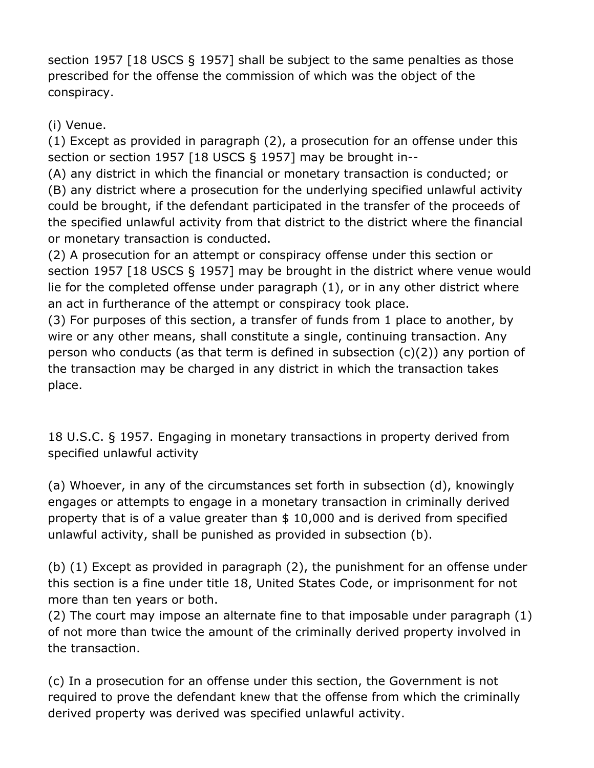section 1957 [18 USCS § 1957] shall be subject to the same penalties as those prescribed for the offense the commission of which was the object of the conspiracy.

(i) Venue.

(1) Except as provided in paragraph (2), a prosecution for an offense under this section or section 1957 [18 USCS § 1957] may be brought in--

(A) any district in which the financial or monetary transaction is conducted; or (B) any district where a prosecution for the underlying specified unlawful activity could be brought, if the defendant participated in the transfer of the proceeds of the specified unlawful activity from that district to the district where the financial or monetary transaction is conducted.

(2) A prosecution for an attempt or conspiracy offense under this section or section 1957 [18 USCS § 1957] may be brought in the district where venue would lie for the completed offense under paragraph (1), or in any other district where an act in furtherance of the attempt or conspiracy took place.

(3) For purposes of this section, a transfer of funds from 1 place to another, by wire or any other means, shall constitute a single, continuing transaction. Any person who conducts (as that term is defined in subsection (c)(2)) any portion of the transaction may be charged in any district in which the transaction takes place.

18 U.S.C. § 1957. Engaging in monetary transactions in property derived from specified unlawful activity

(a) Whoever, in any of the circumstances set forth in subsection (d), knowingly engages or attempts to engage in a monetary transaction in criminally derived property that is of a value greater than \$ 10,000 and is derived from specified unlawful activity, shall be punished as provided in subsection (b).

(b) (1) Except as provided in paragraph (2), the punishment for an offense under this section is a fine under title 18, United States Code, or imprisonment for not more than ten years or both.

(2) The court may impose an alternate fine to that imposable under paragraph (1) of not more than twice the amount of the criminally derived property involved in the transaction.

(c) In a prosecution for an offense under this section, the Government is not required to prove the defendant knew that the offense from which the criminally derived property was derived was specified unlawful activity.